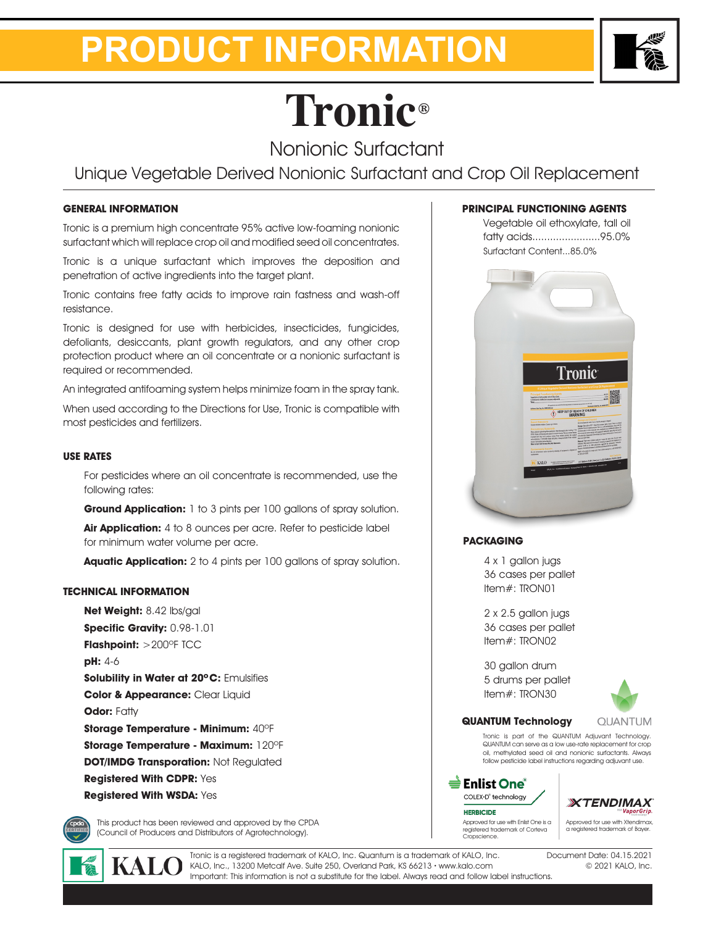## **PRODUCT INFORMATION**



# **Tronic®**

Nonionic Surfactant

Unique Vegetable Derived Nonionic Surfactant and Crop Oil Replacement

### **GENERAL INFORMATION**

Tronic is a premium high concentrate 95% active low-foaming nonionic surfactant which will replace crop oil and modified seed oil concentrates.

Tronic is a unique surfactant which improves the deposition and penetration of active ingredients into the target plant.

Tronic contains free fatty acids to improve rain fastness and wash-off resistance.

Tronic is designed for use with herbicides, insecticides, fungicides, defoliants, desiccants, plant growth regulators, and any other crop protection product where an oil concentrate or a nonionic surfactant is required or recommended.

An integrated antifoaming system helps minimize foam in the spray tank.

When used according to the Directions for Use, Tronic is compatible with most pesticides and fertilizers.

#### **USE RATES**

For pesticides where an oil concentrate is recommended, use the following rates:

**Ground Application:** 1 to 3 pints per 100 gallons of spray solution.

**Air Application:** 4 to 8 ounces per acre. Refer to pesticide label for minimum water volume per acre.

**Aquatic Application:** 2 to 4 pints per 100 gallons of spray solution.

### **TECHNICAL INFORMATION**

**Net Weight:** 8.42 lbs/gal **Specific Gravity:** 0.98-1.01 **Flashpoint:** >200ºF TCC **pH:** 4-6 **Solubility in Water at 20ºC:** Emulsifies **Color & Appearance:** Clear Liquid **Odor: Fatty Storage Temperature - Minimum:** 40ºF **Storage Temperature - Maximum:** 120ºF **DOT/IMDG Transporation: Not Requlated Registered With CDPR:** Yes **Registered With WSDA:** Yes

This product has been reviewed and approved by the CPDA (Council of Producers and Distributors of Agrotechnology).

Tronic is a registered trademark of KALO, Inc. Quantum is a trademark of KALO, Inc. KALO, Inc., 13200 Metcalf Ave. Suite 250, Overland Park, KS 66213 **•** www.kalo.com Important: This information is not a substitute for the label. Always read and follow label instructions.

#### **PRINCIPAL FUNCTIONING AGENTS**

Vegetable oil ethoxylate, tall oil fatty acids.......................95.0% Surfactant Content...85.0%



#### **PACKAGING**

4 x 1 gallon jugs 36 cases per pallet Item#: TRON01

2 x 2.5 gallon jugs 36 cases per pallet Item#: TRON02

30 gallon drum 5 drums per pallet Item#: TRON30



#### **QUANTUM Technology**

**QUANTUM** Tronic is part of the QUANTUM Adjuvant Technology. QUANTUM can serve as a low use-rate replacement for crop oil, methylated seed oil and nonionic surfactants. Always

follow pesticide label instructions regarding adjuvant use.



Approved for use with Enlist One is a registered trademark of Corteva Cropscience. Approved for use with Xtendimax, a registered trademark of Bayer.

> Document Date: 04.15.2021 © 2021 KALO, Inc.

**XTENDIMAX**